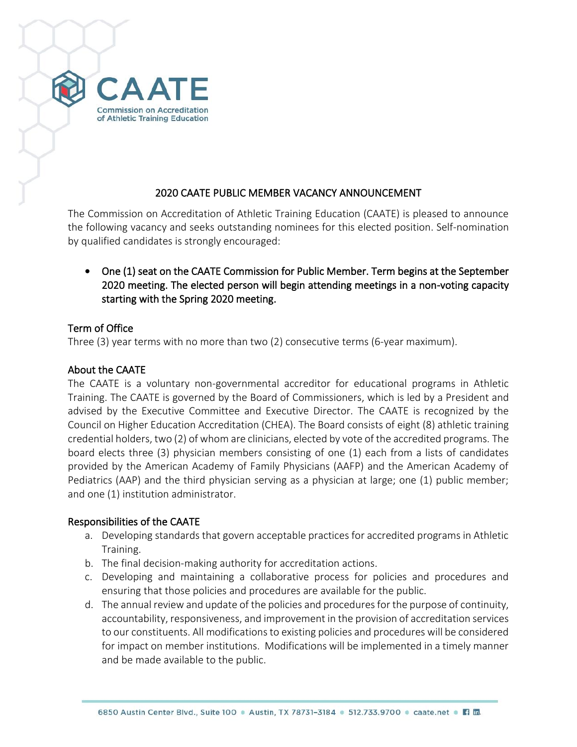

## 2020 CAATE PUBLIC MEMBER VACANCY ANNOUNCEMENT

The Commission on Accreditation of Athletic Training Education (CAATE) is pleased to announce the following vacancy and seeks outstanding nominees for this elected position. Self-nomination by qualified candidates is strongly encouraged:

• One (1) seat on the CAATE Commission for Public Member. Term begins at the September 2020 meeting. The elected person will begin attending meetings in a non-voting capacity starting with the Spring 2020 meeting.

### Term of Office

Three (3) year terms with no more than two (2) consecutive terms (6-year maximum).

## About the CAATE

The CAATE is a voluntary non-governmental accreditor for educational programs in Athletic Training. The CAATE is governed by the Board of Commissioners, which is led by a President and advised by the Executive Committee and Executive Director. The CAATE is recognized by the Council on Higher Education Accreditation (CHEA). The Board consists of eight (8) athletic training credential holders, two (2) of whom are clinicians, elected by vote of the accredited programs. The board elects three (3) physician members consisting of one (1) each from a lists of candidates provided by the American Academy of Family Physicians (AAFP) and the American Academy of Pediatrics (AAP) and the third physician serving as a physician at large; one (1) public member; and one (1) institution administrator.

## Responsibilities of the CAATE

- a. Developing standards that govern acceptable practices for accredited programs in Athletic Training.
- b. The final decision-making authority for accreditation actions.
- c. Developing and maintaining a collaborative process for policies and procedures and ensuring that those policies and procedures are available for the public.
- d. The annual review and update of the policies and procedures for the purpose of continuity, accountability, responsiveness, and improvement in the provision of accreditation services to our constituents. All modifications to existing policies and procedures will be considered for impact on member institutions. Modifications will be implemented in a timely manner and be made available to the public.